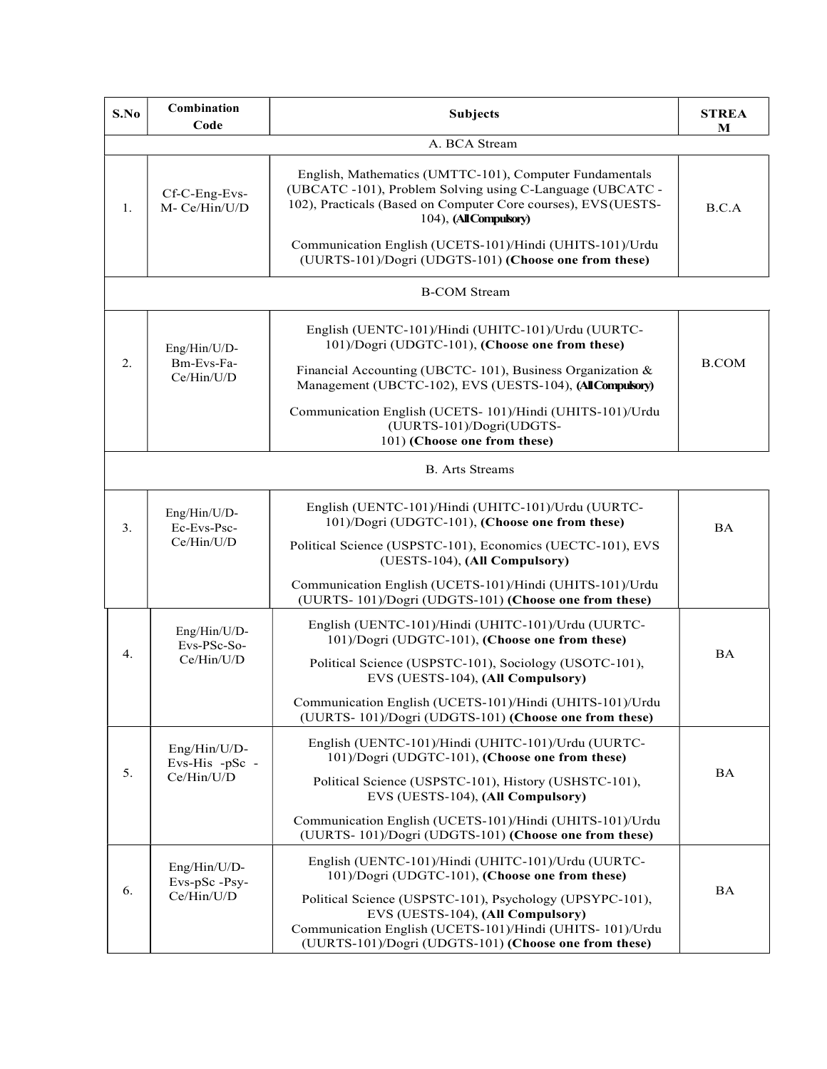| S.No | Combination<br>Code                          | <b>Subjects</b>                                                                                                                                                                                                  | <b>STREA</b><br>M |
|------|----------------------------------------------|------------------------------------------------------------------------------------------------------------------------------------------------------------------------------------------------------------------|-------------------|
|      |                                              | A. BCA Stream                                                                                                                                                                                                    |                   |
| 1.   | Cf-C-Eng-Evs-<br>M- Ce/Hin/U/D               | English, Mathematics (UMTTC-101), Computer Fundamentals<br>(UBCATC -101), Problem Solving using C-Language (UBCATC -<br>102), Practicals (Based on Computer Core courses), EVS (UESTS-<br>104), (All Compulsory) | B.C.A             |
|      |                                              | Communication English (UCETS-101)/Hindi (UHITS-101)/Urdu<br>(UURTS-101)/Dogri (UDGTS-101) (Choose one from these)                                                                                                |                   |
|      |                                              | <b>B-COM Stream</b>                                                                                                                                                                                              |                   |
| 2.   | Eng/Hin/U/D-                                 | English (UENTC-101)/Hindi (UHITC-101)/Urdu (UURTC-<br>101)/Dogri (UDGTC-101), (Choose one from these)                                                                                                            | <b>B.COM</b>      |
|      | Bm-Evs-Fa-<br>Ce/Hin/U/D                     | Financial Accounting (UBCTC-101), Business Organization &<br>Management (UBCTC-102), EVS (UESTS-104), (All Compulsory)                                                                                           |                   |
|      |                                              | Communication English (UCETS- 101)/Hindi (UHITS-101)/Urdu<br>(UURTS-101)/Dogri(UDGTS-<br>101) (Choose one from these)                                                                                            |                   |
|      |                                              | <b>B.</b> Arts Streams                                                                                                                                                                                           |                   |
| 3.   | Eng/Hin/U/D-<br>Ec-Evs-Psc-<br>Ce/Hin/U/D    | English (UENTC-101)/Hindi (UHITC-101)/Urdu (UURTC-<br>101)/Dogri (UDGTC-101), (Choose one from these)                                                                                                            | <b>BA</b>         |
|      |                                              | Political Science (USPSTC-101), Economics (UECTC-101), EVS<br>(UESTS-104), (All Compulsory)                                                                                                                      |                   |
|      |                                              | Communication English (UCETS-101)/Hindi (UHITS-101)/Urdu<br>(UURTS-101)/Dogri (UDGTS-101) (Choose one from these)                                                                                                |                   |
|      | Eng/Hin/U/D-<br>Evs-PSc-So-<br>Ce/Hin/U/D    | English (UENTC-101)/Hindi (UHITC-101)/Urdu (UURTC-<br>101)/Dogri (UDGTC-101), (Choose one from these)                                                                                                            | <b>BA</b>         |
| 4.   |                                              | Political Science (USPSTC-101), Sociology (USOTC-101),<br>EVS (UESTS-104), (All Compulsory)                                                                                                                      |                   |
|      |                                              | Communication English (UCETS-101)/Hindi (UHITS-101)/Urdu<br>(UURTS-101)/Dogri (UDGTS-101) (Choose one from these)                                                                                                |                   |
| 5.   | Eng/Hin/U/D-<br>Evs-His -pSc -<br>Ce/Hin/U/D | English (UENTC-101)/Hindi (UHITC-101)/Urdu (UURTC-<br>101)/Dogri (UDGTC-101), (Choose one from these)                                                                                                            | BA                |
|      |                                              | Political Science (USPSTC-101), History (USHSTC-101),<br>EVS (UESTS-104), (All Compulsory)                                                                                                                       |                   |
|      |                                              | Communication English (UCETS-101)/Hindi (UHITS-101)/Urdu<br>(UURTS-101)/Dogri (UDGTS-101) (Choose one from these)                                                                                                |                   |
| 6.   | Eng/Hin/U/D-<br>Evs-pSc-Psy-<br>Ce/Hin/U/D   | English (UENTC-101)/Hindi (UHITC-101)/Urdu (UURTC-<br>101)/Dogri (UDGTC-101), (Choose one from these)                                                                                                            | <b>BA</b>         |
|      |                                              | Political Science (USPSTC-101), Psychology (UPSYPC-101),<br>EVS (UESTS-104), (All Compulsory)                                                                                                                    |                   |
|      |                                              | Communication English (UCETS-101)/Hindi (UHITS-101)/Urdu<br>(UURTS-101)/Dogri (UDGTS-101) (Choose one from these)                                                                                                |                   |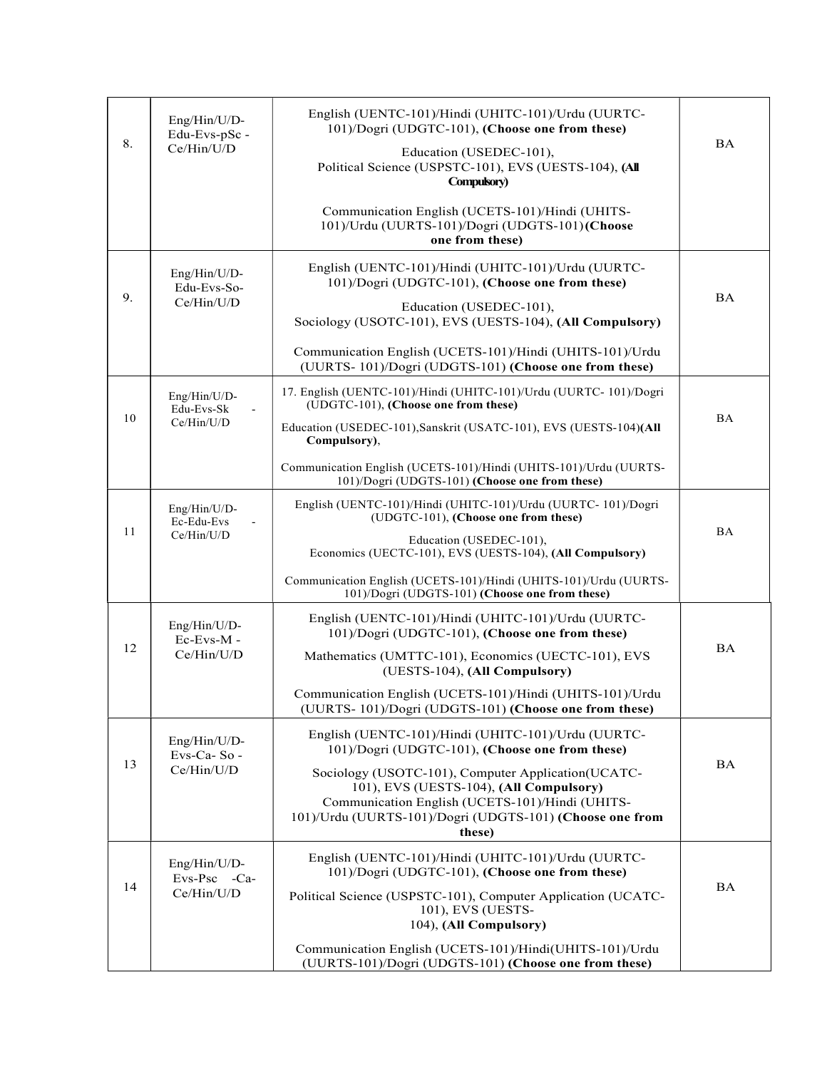| 8. | Eng/Hin/U/D-<br>Edu-Evs-pSc -<br>Ce/Hin/U/D | English (UENTC-101)/Hindi (UHITC-101)/Urdu (UURTC-<br>101)/Dogri (UDGTC-101), (Choose one from these)<br>Education (USEDEC-101),<br>Political Science (USPSTC-101), EVS (UESTS-104), (All<br>Compulsory)                                                  | $\mathbf{BA}$ |
|----|---------------------------------------------|-----------------------------------------------------------------------------------------------------------------------------------------------------------------------------------------------------------------------------------------------------------|---------------|
|    |                                             | Communication English (UCETS-101)/Hindi (UHITS-<br>101)/Urdu (UURTS-101)/Dogri (UDGTS-101)(Choose<br>one from these)                                                                                                                                      |               |
| 9. | Eng/Hin/U/D-<br>Edu-Evs-So-<br>Ce/Hin/U/D   | English (UENTC-101)/Hindi (UHITC-101)/Urdu (UURTC-<br>101)/Dogri (UDGTC-101), (Choose one from these)<br>Education (USEDEC-101),<br>Sociology (USOTC-101), EVS (UESTS-104), (All Compulsory)<br>Communication English (UCETS-101)/Hindi (UHITS-101)/Urdu  | <b>BA</b>     |
|    |                                             | (UURTS-101)/Dogri (UDGTS-101) (Choose one from these)                                                                                                                                                                                                     |               |
| 10 | Eng/Hin/U/D-<br>Edu-Evs-Sk<br>Ce/Hin/U/D    | 17. English (UENTC-101)/Hindi (UHITC-101)/Urdu (UURTC-101)/Dogri<br>(UDGTC-101), (Choose one from these)<br>Education (USEDEC-101), Sanskrit (USATC-101), EVS (UESTS-104)(All<br>Compulsory),                                                             | <b>BA</b>     |
|    |                                             | Communication English (UCETS-101)/Hindi (UHITS-101)/Urdu (UURTS-<br>101)/Dogri (UDGTS-101) (Choose one from these)                                                                                                                                        |               |
| 11 | Eng/Hin/U/D-<br>Ec-Edu-Evs<br>Ce/Hin/U/D    | English (UENTC-101)/Hindi (UHITC-101)/Urdu (UURTC-101)/Dogri<br>(UDGTC-101), (Choose one from these)<br>Education (USEDEC-101),<br>Economics (UECTC-101), EVS (UESTS-104), (All Compulsory)                                                               | <b>BA</b>     |
|    |                                             | Communication English (UCETS-101)/Hindi (UHITS-101)/Urdu (UURTS-<br>101)/Dogri (UDGTS-101) (Choose one from these)                                                                                                                                        |               |
| 12 | Eng/Hin/U/D-<br>Ec-Evs-M-<br>Ce/Hin/U/D     | English (UENTC-101)/Hindi (UHITC-101)/Urdu (UURTC-<br>101)/Dogri (UDGTC-101), (Choose one from these)<br>Mathematics (UMTTC-101), Economics (UECTC-101), EVS<br>(UESTS-104), (All Compulsory)                                                             | <b>BA</b>     |
|    |                                             | Communication English (UCETS-101)/Hindi (UHITS-101)/Urdu<br>(UURTS-101)/Dogri (UDGTS-101) (Choose one from these)                                                                                                                                         |               |
| 13 | Eng/Hin/U/D-<br>Evs-Ca-So-<br>Ce/Hin/U/D    | English (UENTC-101)/Hindi (UHITC-101)/Urdu (UURTC-<br>101)/Dogri (UDGTC-101), (Choose one from these)<br>Sociology (USOTC-101), Computer Application(UCATC-<br>101), EVS (UESTS-104), (All Compulsory)<br>Communication English (UCETS-101)/Hindi (UHITS- | <b>BA</b>     |
|    |                                             | 101)/Urdu (UURTS-101)/Dogri (UDGTS-101) (Choose one from<br>these)                                                                                                                                                                                        |               |
| 14 | Eng/Hin/U/D-<br>Evs-Psc -Ca-<br>Ce/Hin/U/D  | English (UENTC-101)/Hindi (UHITC-101)/Urdu (UURTC-<br>101)/Dogri (UDGTC-101), (Choose one from these)<br>Political Science (USPSTC-101), Computer Application (UCATC-<br>101), EVS (UESTS-<br>104), (All Compulsory)                                      | BA            |
|    |                                             | Communication English (UCETS-101)/Hindi(UHITS-101)/Urdu<br>(UURTS-101)/Dogri (UDGTS-101) (Choose one from these)                                                                                                                                          |               |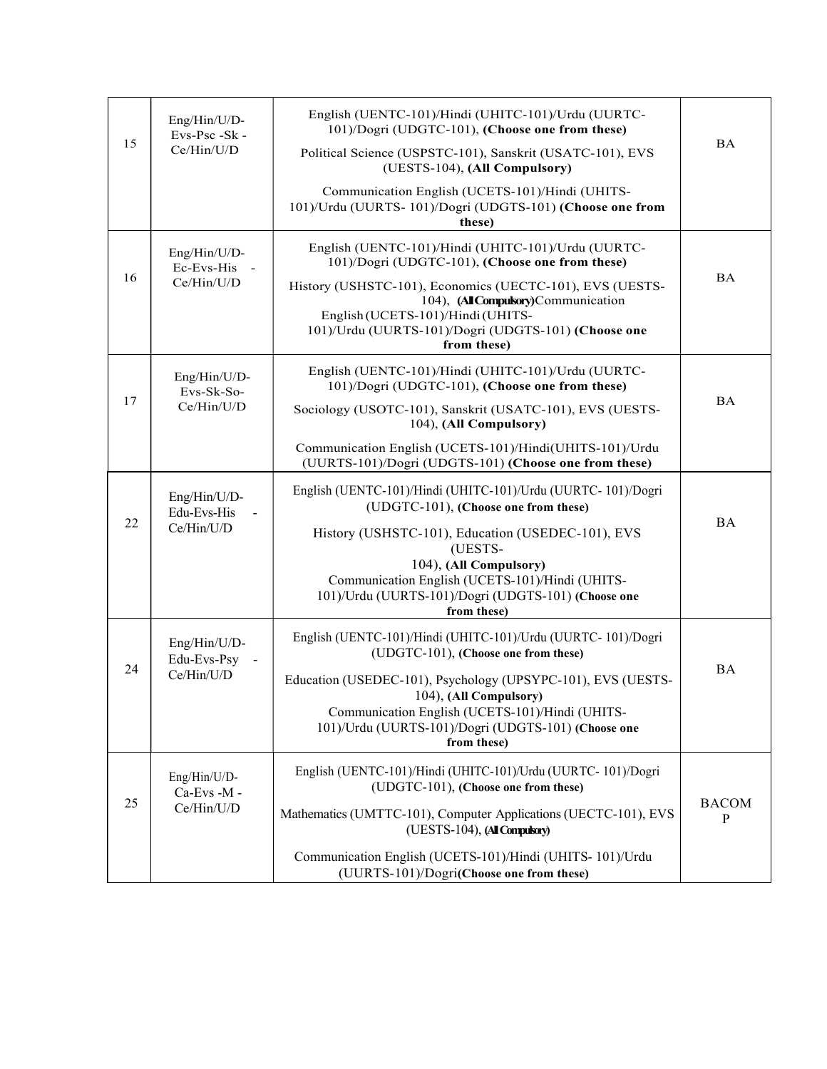| 15 | Eng/Hin/U/D-<br>Evs-Psc -Sk -<br>Ce/Hin/U/D | English (UENTC-101)/Hindi (UHITC-101)/Urdu (UURTC-<br>101)/Dogri (UDGTC-101), (Choose one from these)                                                                                                           | <b>BA</b>         |
|----|---------------------------------------------|-----------------------------------------------------------------------------------------------------------------------------------------------------------------------------------------------------------------|-------------------|
|    |                                             | Political Science (USPSTC-101), Sanskrit (USATC-101), EVS<br>(UESTS-104), (All Compulsory)                                                                                                                      |                   |
|    |                                             | Communication English (UCETS-101)/Hindi (UHITS-<br>101)/Urdu (UURTS-101)/Dogri (UDGTS-101) (Choose one from<br>these)                                                                                           |                   |
|    | Eng/Hin/U/D-<br>Ec-Evs-His -<br>Ce/Hin/U/D  | English (UENTC-101)/Hindi (UHITC-101)/Urdu (UURTC-<br>101)/Dogri (UDGTC-101), (Choose one from these)                                                                                                           | <b>BA</b>         |
| 16 |                                             | History (USHSTC-101), Economics (UECTC-101), EVS (UESTS-<br>104), (All Compulsory) Communication<br>English (UCETS-101)/Hindi (UHITS-<br>101)/Urdu (UURTS-101)/Dogri (UDGTS-101) (Choose one<br>from these)     |                   |
| 17 | Eng/Hin/U/D-<br>Evs-Sk-So-<br>Ce/Hin/U/D    | English (UENTC-101)/Hindi (UHITC-101)/Urdu (UURTC-<br>101)/Dogri (UDGTC-101), (Choose one from these)                                                                                                           | <b>BA</b>         |
|    |                                             | Sociology (USOTC-101), Sanskrit (USATC-101), EVS (UESTS-<br>104), (All Compulsory)                                                                                                                              |                   |
|    |                                             | Communication English (UCETS-101)/Hindi(UHITS-101)/Urdu<br>(UURTS-101)/Dogri (UDGTS-101) (Choose one from these)                                                                                                |                   |
| 22 | Eng/Hin/U/D-<br>Edu-Evs-His<br>Ce/Hin/U/D   | English (UENTC-101)/Hindi (UHITC-101)/Urdu (UURTC-101)/Dogri<br>(UDGTC-101), (Choose one from these)                                                                                                            |                   |
|    |                                             | History (USHSTC-101), Education (USEDEC-101), EVS<br>(UESTS-                                                                                                                                                    | <b>BA</b>         |
|    |                                             | 104), (All Compulsory)<br>Communication English (UCETS-101)/Hindi (UHITS-<br>101)/Urdu (UURTS-101)/Dogri (UDGTS-101) (Choose one<br>from these)                                                                 |                   |
| 24 | Eng/Hin/U/D-<br>Edu-Evs-Psy -               | English (UENTC-101)/Hindi (UHITC-101)/Urdu (UURTC-101)/Dogri<br>(UDGTC-101), (Choose one from these)                                                                                                            | <b>BA</b>         |
|    | Ce/Hin/U/D                                  | Education (USEDEC-101), Psychology (UPSYPC-101), EVS (UESTS-<br>104), (All Compulsory)<br>Communication English (UCETS-101)/Hindi (UHITS-<br>101)/Urdu (UURTS-101)/Dogri (UDGTS-101) (Choose one<br>from these) |                   |
| 25 | Eng/Hin/U/D-<br>Ca-Evs -M -<br>Ce/Hin/U/D   | English (UENTC-101)/Hindi (UHITC-101)/Urdu (UURTC-101)/Dogri<br>(UDGTC-101), (Choose one from these)                                                                                                            | <b>BACOM</b><br>P |
|    |                                             | Mathematics (UMTTC-101), Computer Applications (UECTC-101), EVS<br>(UESTS-104), (All Compulsory)                                                                                                                |                   |
|    |                                             | Communication English (UCETS-101)/Hindi (UHITS-101)/Urdu<br>(UURTS-101)/Dogri(Choose one from these)                                                                                                            |                   |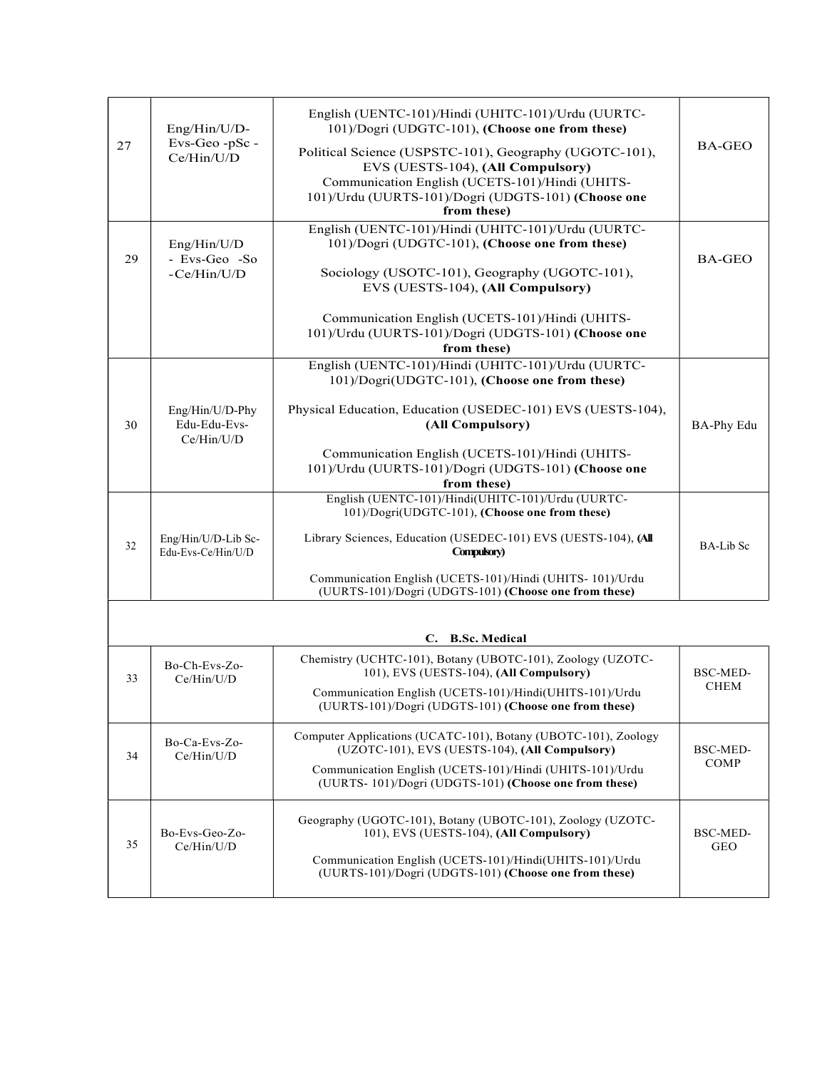| 27 | Eng/Hin/U/D-<br>Evs-Geo-pSc-<br>Ce/Hin/U/D    | English (UENTC-101)/Hindi (UHITC-101)/Urdu (UURTC-<br>101)/Dogri (UDGTC-101), (Choose one from these)                 | <b>BA-GEO</b>           |  |
|----|-----------------------------------------------|-----------------------------------------------------------------------------------------------------------------------|-------------------------|--|
|    |                                               | Political Science (USPSTC-101), Geography (UGOTC-101),<br>EVS (UESTS-104), (All Compulsory)                           |                         |  |
|    |                                               | Communication English (UCETS-101)/Hindi (UHITS-<br>101)/Urdu (UURTS-101)/Dogri (UDGTS-101) (Choose one<br>from these) |                         |  |
| 29 | Eng/Hin/U/D<br>- Evs-Geo -So<br>-Ce/Hin/U/D   | English (UENTC-101)/Hindi (UHITC-101)/Urdu (UURTC-<br>101)/Dogri (UDGTC-101), (Choose one from these)                 | <b>BA-GEO</b>           |  |
|    |                                               | Sociology (USOTC-101), Geography (UGOTC-101),<br>EVS (UESTS-104), (All Compulsory)                                    |                         |  |
|    |                                               | Communication English (UCETS-101)/Hindi (UHITS-<br>101)/Urdu (UURTS-101)/Dogri (UDGTS-101) (Choose one<br>from these) |                         |  |
|    |                                               | English (UENTC-101)/Hindi (UHITC-101)/Urdu (UURTC-                                                                    |                         |  |
|    |                                               | 101)/Dogri(UDGTC-101), (Choose one from these)                                                                        |                         |  |
| 30 | Eng/Hin/U/D-Phy<br>Edu-Edu-Evs-<br>Ce/Hin/U/D | Physical Education, Education (USEDEC-101) EVS (UESTS-104),<br>(All Compulsory)                                       | <b>BA-Phy Edu</b>       |  |
|    |                                               | Communication English (UCETS-101)/Hindi (UHITS-<br>101)/Urdu (UURTS-101)/Dogri (UDGTS-101) (Choose one<br>from these) |                         |  |
|    |                                               | English (UENTC-101)/Hindi(UHITC-101)/Urdu (UURTC-<br>101)/Dogri(UDGTC-101), (Choose one from these)                   |                         |  |
| 32 | Eng/Hin/U/D-Lib Sc-<br>Edu-Evs-Ce/Hin/U/D     | Library Sciences, Education (USEDEC-101) EVS (UESTS-104), (All<br>Compulsory)                                         | <b>BA-Lib</b> Sc        |  |
|    |                                               | Communication English (UCETS-101)/Hindi (UHITS-101)/Urdu<br>(UURTS-101)/Dogri (UDGTS-101) (Choose one from these)     |                         |  |
|    |                                               |                                                                                                                       |                         |  |
|    |                                               | C. B.Sc. Medical<br>Chemistry (UCHTC-101), Botany (UBOTC-101), Zoology (UZOTC-                                        |                         |  |
| 33 | Bo-Ch-Evs-Zo-<br>Ce/Hin/U/D                   | 101), EVS (UESTS-104), (All Compulsory)<br>Communication English (UCETS-101)/Hindi(UHITS-101)/Urdu                    | BSC-MED-<br><b>CHEM</b> |  |
|    |                                               | (UURTS-101)/Dogri (UDGTS-101) (Choose one from these)                                                                 |                         |  |
| 34 | Bo-Ca-Evs-Zo-<br>Ce/Hin/U/D                   | Computer Applications (UCATC-101), Botany (UBOTC-101), Zoology<br>(UZOTC-101), EVS (UESTS-104), (All Compulsory)      | BSC-MED-                |  |
|    |                                               | Communication English (UCETS-101)/Hindi (UHITS-101)/Urdu<br>(UURTS-101)/Dogri (UDGTS-101) (Choose one from these)     | COMP                    |  |
| 35 | Bo-Evs-Geo-Zo-<br>Ce/Hin/U/D                  | Geography (UGOTC-101), Botany (UBOTC-101), Zoology (UZOTC-<br>101), EVS (UESTS-104), (All Compulsory)                 | BSC-MED-                |  |
|    |                                               | Communication English (UCETS-101)/Hindi(UHITS-101)/Urdu<br>(UURTS-101)/Dogri (UDGTS-101) (Choose one from these)      | <b>GEO</b>              |  |
|    |                                               |                                                                                                                       |                         |  |